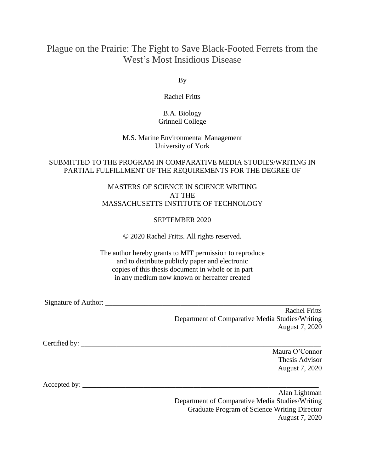# Plague on the Prairie: The Fight to Save Black-Footed Ferrets from the West's Most Insidious Disease

By

Rachel Fritts

### B.A. Biology Grinnell College

#### M.S. Marine Environmental Management University of York

#### SUBMITTED TO THE PROGRAM IN COMPARATIVE MEDIA STUDIES/WRITING IN PARTIAL FULFILLMENT OF THE REQUIREMENTS FOR THE DEGREE OF

#### MASTERS OF SCIENCE IN SCIENCE WRITING AT THE MASSACHUSETTS INSTITUTE OF TECHNOLOGY

### SEPTEMBER 2020

© 2020 Rachel Fritts. All rights reserved.

The author hereby grants to MIT permission to reproduce and to distribute publicly paper and electronic copies of this thesis document in whole or in part in any medium now known or hereafter created

Signature of Author: \_\_\_\_\_\_\_\_\_\_\_\_\_\_\_\_\_\_\_\_\_\_\_\_\_\_\_\_\_\_\_\_\_\_\_\_\_\_\_\_\_\_\_\_\_\_\_\_\_\_\_\_\_\_\_\_\_\_\_\_

Rachel Fritts Department of Comparative Media Studies/Writing August 7, 2020

Certified by: \_\_\_\_\_\_\_\_\_\_\_\_\_\_\_\_\_\_\_\_\_\_\_\_\_\_\_\_\_\_\_\_\_\_\_\_\_\_\_\_\_\_\_\_\_\_\_\_\_\_\_\_\_\_\_\_\_\_\_\_\_\_\_\_\_\_\_

Maura O'Connor Thesis Advisor August 7, 2020

Accepted by: \_\_\_\_\_\_\_\_\_\_\_\_\_\_\_\_\_\_\_\_\_\_\_\_\_\_\_\_\_\_\_\_\_\_\_\_\_\_\_\_\_\_\_\_\_\_\_\_\_\_\_\_\_\_\_\_\_\_\_\_\_\_\_\_\_\_

Alan Lightman Department of Comparative Media Studies/Writing Graduate Program of Science Writing Director August 7, 2020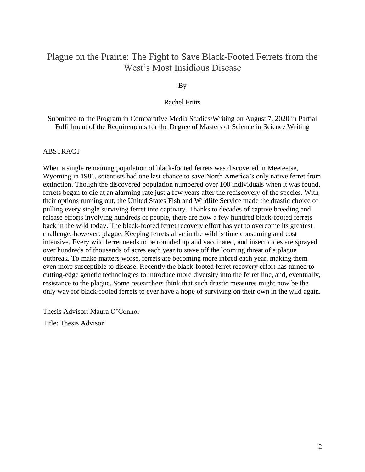# Plague on the Prairie: The Fight to Save Black-Footed Ferrets from the West's Most Insidious Disease

By

#### Rachel Fritts

Submitted to the Program in Comparative Media Studies/Writing on August 7, 2020 in Partial Fulfillment of the Requirements for the Degree of Masters of Science in Science Writing

#### ABSTRACT

When a single remaining population of black-footed ferrets was discovered in Meeteetse, Wyoming in 1981, scientists had one last chance to save North America's only native ferret from extinction. Though the discovered population numbered over 100 individuals when it was found, ferrets began to die at an alarming rate just a few years after the rediscovery of the species. With their options running out, the United States Fish and Wildlife Service made the drastic choice of pulling every single surviving ferret into captivity. Thanks to decades of captive breeding and release efforts involving hundreds of people, there are now a few hundred black-footed ferrets back in the wild today. The black-footed ferret recovery effort has yet to overcome its greatest challenge, however: plague. Keeping ferrets alive in the wild is time consuming and cost intensive. Every wild ferret needs to be rounded up and vaccinated, and insecticides are sprayed over hundreds of thousands of acres each year to stave off the looming threat of a plague outbreak. To make matters worse, ferrets are becoming more inbred each year, making them even more susceptible to disease. Recently the black-footed ferret recovery effort has turned to cutting-edge genetic technologies to introduce more diversity into the ferret line, and, eventually, resistance to the plague. Some researchers think that such drastic measures might now be the only way for black-footed ferrets to ever have a hope of surviving on their own in the wild again.

Thesis Advisor: Maura O'Connor Title: Thesis Advisor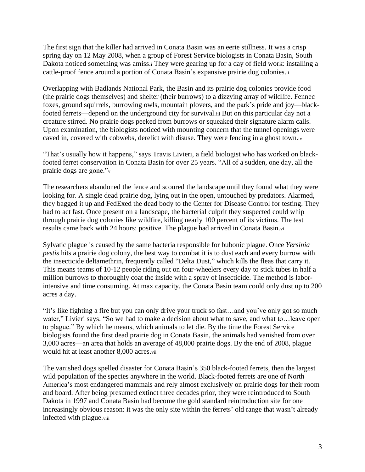The first sign that the killer had arrived in Conata Basin was an eerie stillness. It was a crisp spring day on 12 May 2008, when a group of Forest Service biologists in Conata Basin, South Dakota noticed something was amiss.<sup>i</sup> They were gearing up for a day of field work: installing a cattle-proof fence around a portion of Conata Basin's expansive prairie dog colonies.ii

Overlapping with Badlands National Park, the Basin and its prairie dog colonies provide food (the prairie dogs themselves) and shelter (their burrows) to a dizzying array of wildlife. Fennec foxes, ground squirrels, burrowing owls, mountain plovers, and the park's pride and joy—blackfooted ferrets—depend on the underground city for survival.iii But on this particular day not a creature stirred. No prairie dogs peeked from burrows or squeaked their signature alarm calls. Upon examination, the biologists noticed with mounting concern that the tunnel openings were caved in, covered with cobwebs, derelict with disuse. They were fencing in a ghost town.iv

"That's usually how it happens," says Travis Livieri, a field biologist who has worked on blackfooted ferret conservation in Conata Basin for over 25 years. "All of a sudden, one day, all the prairie dogs are gone."<sup>v</sup>

The researchers abandoned the fence and scoured the landscape until they found what they were looking for. A single dead prairie dog, lying out in the open, untouched by predators. Alarmed, they bagged it up and FedExed the dead body to the Center for Disease Control for testing. They had to act fast. Once present on a landscape, the bacterial culprit they suspected could whip through prairie dog colonies like wildfire, killing nearly 100 percent of its victims. The test results came back with 24 hours: positive. The plague had arrived in Conata Basin.vi

Sylvatic plague is caused by the same bacteria responsible for bubonic plague. Once *Yersinia pestis* hits a prairie dog colony, the best way to combat it is to dust each and every burrow with the insecticide deltamethrin, frequently called "Delta Dust," which kills the fleas that carry it. This means teams of 10-12 people riding out on four-wheelers every day to stick tubes in half a million burrows to thoroughly coat the inside with a spray of insecticide. The method is laborintensive and time consuming. At max capacity, the Conata Basin team could only dust up to 200 acres a day.

"It's like fighting a fire but you can only drive your truck so fast…and you've only got so much water," Livieri says. "So we had to make a decision about what to save, and what to... leave open to plague." By which he means, which animals to let die. By the time the Forest Service biologists found the first dead prairie dog in Conata Basin, the animals had vanished from over 3,000 acres—an area that holds an average of 48,000 prairie dogs. By the end of 2008, plague would hit at least another 8,000 acres.vii

The vanished dogs spelled disaster for Conata Basin's 350 black-footed ferrets, then the largest wild population of the species anywhere in the world. Black-footed ferrets are one of North America's most endangered mammals and rely almost exclusively on prairie dogs for their room and board. After being presumed extinct three decades prior, they were reintroduced to South Dakota in 1997 and Conata Basin had become the gold standard reintroduction site for one increasingly obvious reason: it was the only site within the ferrets' old range that wasn't already infected with plague.viii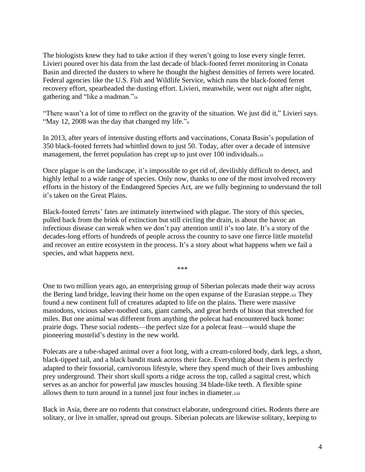The biologists knew they had to take action if they weren't going to lose every single ferret. Livieri poured over his data from the last decade of black-footed ferret monitoring in Conata Basin and directed the dusters to where he thought the highest densities of ferrets were located. Federal agencies like the U.S. Fish and Wildlife Service, which runs the black-footed ferret recovery effort, spearheaded the dusting effort. Livieri, meanwhile, went out night after night, gathering and "like a madman."ix

"There wasn't a lot of time to reflect on the gravity of the situation. We just did it," Livieri says. "May 12, 2008 was the day that changed my life."x

In 2013, after years of intensive dusting efforts and vaccinations, Conata Basin's population of 350 black-footed ferrets had whittled down to just 50. Today, after over a decade of intensive management, the ferret population has crept up to just over 100 individuals.xi

Once plague is on the landscape, it's impossible to get rid of, devilishly difficult to detect, and highly lethal to a wide range of species. Only now, thanks to one of the most involved recovery efforts in the history of the Endangered Species Act, are we fully beginning to understand the toll it's taken on the Great Plains.

Black-footed ferrets' fates are intimately intertwined with plague. The story of this species, pulled back from the brink of extinction but still circling the drain, is about the havoc an infectious disease can wreak when we don't pay attention until it's too late. It's a story of the decades-long efforts of hundreds of people across the country to save one fierce little mustelid and recover an entire ecosystem in the process. It's a story about what happens when we fail a species, and what happens next.

\*\*\*

One to two million years ago, an enterprising group of Siberian polecats made their way across the Bering land bridge, leaving their home on the open expanse of the Eurasian steppe.xii They found a new continent full of creatures adapted to life on the plains. There were massive mastodons, vicious saber-toothed cats, giant camels, and great herds of bison that stretched for miles. But one animal was different from anything the polecat had encountered back home: prairie dogs. These social rodents—the perfect size for a polecat feast—would shape the pioneering mustelid's destiny in the new world.

Polecats are a tube-shaped animal over a foot long, with a cream-colored body, dark legs, a short, black-tipped tail, and a black bandit mask across their face. Everything about them is perfectly adapted to their fossorial, carnivorous lifestyle, where they spend much of their lives ambushing prey underground. Their short skull sports a ridge across the top, called a sagittal crest, which serves as an anchor for powerful jaw muscles housing 34 blade-like teeth. A flexible spine allows them to turn around in a tunnel just four inches in diameter.xiii

Back in Asia, there are no rodents that construct elaborate, underground cities. Rodents there are solitary, or live in smaller, spread out groups. Siberian polecats are likewise solitary, keeping to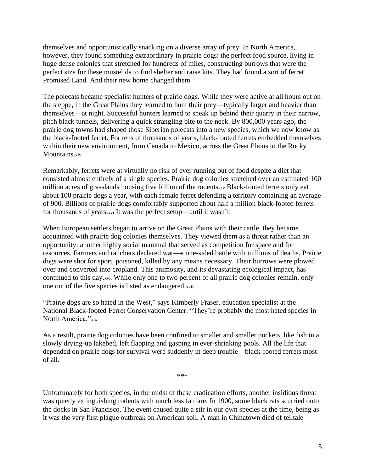themselves and opportunistically snacking on a diverse array of prey. In North America, however, they found something extraordinary in prairie dogs: the perfect food source, living in huge dense colonies that stretched for hundreds of miles, constructing burrows that were the perfect size for these mustelids to find shelter and raise kits. They had found a sort of ferret Promised Land. And their new home changed them.

The polecats became specialist hunters of prairie dogs. While they were active at all hours out on the steppe, in the Great Plains they learned to hunt their prey—typically larger and heavier than themselves—at night. Successful hunters learned to sneak up behind their quarry in their narrow, pitch black tunnels, delivering a quick strangling bite to the neck. By 800,000 years ago, the prairie dog towns had shaped those Siberian polecats into a new species, which we now know as the black-footed ferret. For tens of thousands of years, black-footed ferrets embedded themselves within their new environment, from Canada to Mexico, across the Great Plains to the Rocky Mountains.xiv

Remarkably, ferrets were at virtually no risk of ever running out of food despite a diet that consisted almost entirely of a single species. Prairie dog colonies stretched over an estimated 100 million acres of grasslands housing five billion of the rodents.xv Black-footed ferrets only eat about 100 prairie dogs a year, with each female ferret defending a territory containing an average of 900. Billions of prairie dogs comfortably supported about half a million black-footed ferrets for thousands of years.xvi It was the perfect setup—until it wasn't.

When European settlers began to arrive on the Great Plains with their cattle, they became acquainted with prairie dog colonies themselves. They viewed them as a threat rather than an opportunity: another highly social mammal that served as competition for space and for resources. Farmers and ranchers declared war—a one-sided battle with millions of deaths. Prairie dogs were shot for sport, poisoned, killed by any means necessary. Their burrows were plowed over and converted into cropland. This animosity, and its devastating ecological impact, has continued to this day.xvii While only one to two percent of all prairie dog colonies remain, only one out of the five species is listed as endangered.xviii

"Prairie dogs are so hated in the West," says Kimberly Fraser, education specialist at the National Black-footed Ferret Conservation Center. "They're probably the most hated species in North America."xix

As a result, prairie dog colonies have been confined to smaller and smaller pockets, like fish in a slowly drying-up lakebed, left flapping and gasping in ever-shrinking pools. All the life that depended on prairie dogs for survival were suddenly in deep trouble—black-footed ferrets most of all.

\*\*\*

Unfortunately for both species, in the midst of these eradication efforts, another insidious threat was quietly extinguishing rodents with much less fanfare. In 1900, some black rats scurried onto the docks in San Francisco. The event caused quite a stir in our own species at the time, being as it was the very first plague outbreak on American soil. A man in Chinatown died of telltale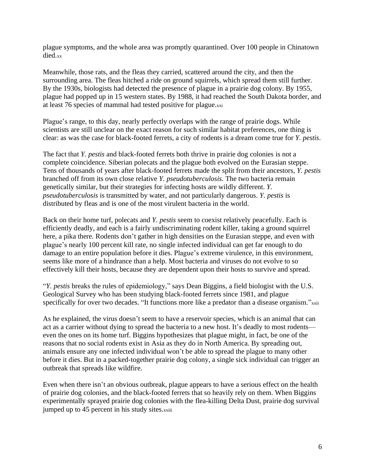plague symptoms, and the whole area was promptly quarantined. Over 100 people in Chinatown died.xx

Meanwhile, those rats, and the fleas they carried, scattered around the city, and then the surrounding area. The fleas hitched a ride on ground squirrels, which spread them still further. By the 1930s, biologists had detected the presence of plague in a prairie dog colony. By 1955, plague had popped up in 15 western states. By 1988, it had reached the South Dakota border, and at least 76 species of mammal had tested positive for plague.xxi

Plague's range, to this day, nearly perfectly overlaps with the range of prairie dogs. While scientists are still unclear on the exact reason for such similar habitat preferences, one thing is clear: as was the case for black-footed ferrets, a city of rodents is a dream come true for *Y. pestis*.

The fact that *Y. pestis* and black-footed ferrets both thrive in prairie dog colonies is not a complete coincidence. Siberian polecats and the plague both evolved on the Eurasian steppe. Tens of thousands of years after black-footed ferrets made the split from their ancestors, *Y. pestis* branched off from its own close relative *Y. pseudotuberculosis.* The two bacteria remain genetically similar, but their strategies for infecting hosts are wildly different. *Y. pseudotuberculosis* is transmitted by water, and not particularly dangerous. *Y. pestis* is distributed by fleas and is one of the most virulent bacteria in the world.

Back on their home turf, polecats and *Y. pestis* seem to coexist relatively peacefully. Each is efficiently deadly, and each is a fairly undiscriminating rodent killer, taking a ground squirrel here, a pika there. Rodents don't gather in high densities on the Eurasian steppe, and even with plague's nearly 100 percent kill rate, no single infected individual can get far enough to do damage to an entire population before it dies. Plague's extreme virulence, in this environment, seems like more of a hindrance than a help. Most bacteria and viruses do not evolve to so effectively kill their hosts, because they are dependent upon their hosts to survive and spread.

"*Y. pestis* breaks the rules of epidemiology," says Dean Biggins, a field biologist with the U.S. Geological Survey who has been studying black-footed ferrets since 1981, and plague specifically for over two decades. "It functions more like a predator than a disease organism."xxii

As he explained, the virus doesn't seem to have a reservoir species, which is an animal that can act as a carrier without dying to spread the bacteria to a new host. It's deadly to most rodents even the ones on its home turf. Biggins hypothesizes that plague might, in fact, be one of the reasons that no social rodents exist in Asia as they do in North America. By spreading out, animals ensure any one infected individual won't be able to spread the plague to many other before it dies. But in a packed-together prairie dog colony, a single sick individual can trigger an outbreak that spreads like wildfire.

Even when there isn't an obvious outbreak, plague appears to have a serious effect on the health of prairie dog colonies, and the black-footed ferrets that so heavily rely on them. When Biggins experimentally sprayed prairie dog colonies with the flea-killing Delta Dust, prairie dog survival jumped up to 45 percent in his study sites.xxiii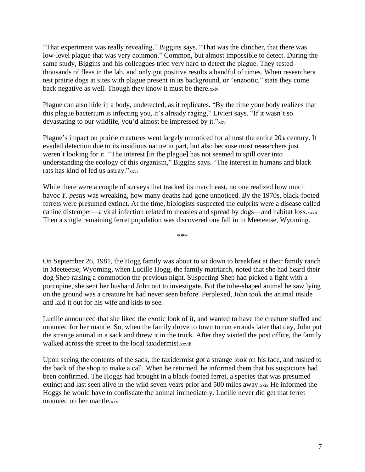"That experiment was really revealing," Biggins says. "That was the clincher, that there was low-level plague that was very common." Common, but almost impossible to detect. During the same study, Biggins and his colleagues tried very hard to detect the plague. They tested thousands of fleas in the lab, and only got positive results a handful of times. When researchers test prairie dogs at sites with plague present in its background, or "enzootic," state they come back negative as well. Though they know it must be there.xxiv

Plague can also hide in a body, undetected, as it replicates. "By the time your body realizes that this plague bacterium is infecting you, it's already raging," Livieri says. "If it wasn't so devastating to our wildlife, you'd almost be impressed by it."xxv

Plague's impact on prairie creatures went largely unnoticed for almost the entire 20th century. It evaded detection due to its insidious nature in part, but also because most researchers just weren't looking for it. "The interest [in the plague] has not seemed to spill over into understanding the ecology of this organism," Biggins says. "The interest in humans and black rats has kind of led us astray."xxvi

While there were a couple of surveys that tracked its march east, no one realized how much havoc *Y. pestis* was wreaking, how many deaths had gone unnoticed. By the 1970s, black-footed ferrets were presumed extinct. At the time, biologists suspected the culprits were a disease called canine distemper—a viral infection related to measles and spread by dogs—and habitat loss.xxvii Then a single remaining ferret population was discovered one fall in in Meeteetse, Wyoming.

\*\*\*

On September 26, 1981, the Hogg family was about to sit down to breakfast at their family ranch in Meeteetse, Wyoming, when Lucille Hogg, the family matriarch, noted that she had heard their dog Shep raising a commotion the previous night. Suspecting Shep had picked a fight with a porcupine, she sent her husband John out to investigate. But the tube-shaped animal he saw lying on the ground was a creature he had never seen before. Perplexed, John took the animal inside and laid it out for his wife and kids to see.

Lucille announced that she liked the exotic look of it, and wanted to have the creature stuffed and mounted for her mantle. So, when the family drove to town to run errands later that day, John put the strange animal in a sack and threw it in the truck. After they visited the post office, the family walked across the street to the local taxidermist.xxviii

Upon seeing the contents of the sack, the taxidermist got a strange look on his face, and rushed to the back of the shop to make a call. When he returned, he informed them that his suspicions had been confirmed. The Hoggs had brought in a black-footed ferret, a species that was presumed extinct and last seen alive in the wild seven years prior and 500 miles away.xxix He informed the Hoggs he would have to confiscate the animal immediately. Lucille never did get that ferret mounted on her mantle.xxx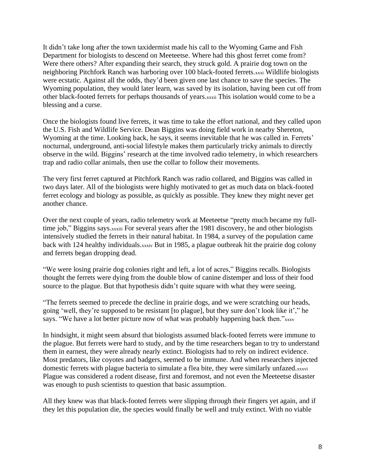It didn't take long after the town taxidermist made his call to the Wyoming Game and Fish Department for biologists to descend on Meeteetse. Where had this ghost ferret come from? Were there others? After expanding their search, they struck gold. A prairie dog town on the neighboring Pitchfork Ranch was harboring over 100 black-footed ferrets.xxxi Wildlife biologists were ecstatic. Against all the odds, they'd been given one last chance to save the species. The Wyoming population, they would later learn, was saved by its isolation, having been cut off from other black-footed ferrets for perhaps thousands of years.xxxii This isolation would come to be a blessing and a curse.

Once the biologists found live ferrets, it was time to take the effort national, and they called upon the U.S. Fish and Wildlife Service. Dean Biggins was doing field work in nearby Shereton, Wyoming at the time. Looking back, he says, it seems inevitable that he was called in. Ferrets' nocturnal, underground, anti-social lifestyle makes them particularly tricky animals to directly observe in the wild. Biggins' research at the time involved radio telemetry, in which researchers trap and radio collar animals, then use the collar to follow their movements.

The very first ferret captured at Pitchfork Ranch was radio collared, and Biggins was called in two days later. All of the biologists were highly motivated to get as much data on black-footed ferret ecology and biology as possible, as quickly as possible. They knew they might never get another chance.

Over the next couple of years, radio telemetry work at Meeteetse "pretty much became my fulltime job," Biggins says.xxxiii For several years after the 1981 discovery, he and other biologists intensively studied the ferrets in their natural habitat. In 1984, a survey of the population came back with 124 healthy individuals.xxxiv But in 1985, a plague outbreak hit the prairie dog colony and ferrets began dropping dead.

"We were losing prairie dog colonies right and left, a lot of acres," Biggins recalls. Biologists thought the ferrets were dying from the double blow of canine distemper and loss of their food source to the plague. But that hypothesis didn't quite square with what they were seeing.

"The ferrets seemed to precede the decline in prairie dogs, and we were scratching our heads, going 'well, they're supposed to be resistant [to plague], but they sure don't look like it'," he says. "We have a lot better picture now of what was probably happening back then."xxxv

In hindsight, it might seem absurd that biologists assumed black-footed ferrets were immune to the plague. But ferrets were hard to study, and by the time researchers began to try to understand them in earnest, they were already nearly extinct. Biologists had to rely on indirect evidence. Most predators, like coyotes and badgers, seemed to be immune. And when researchers injected domestic ferrets with plague bacteria to simulate a flea bite, they were similarly unfazed.xxxvi Plague was considered a rodent disease, first and foremost, and not even the Meeteetse disaster was enough to push scientists to question that basic assumption.

All they knew was that black-footed ferrets were slipping through their fingers yet again, and if they let this population die, the species would finally be well and truly extinct. With no viable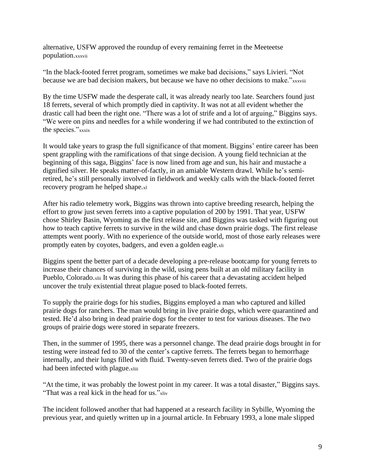alternative, USFW approved the roundup of every remaining ferret in the Meeteetse population.xxxvii

"In the black-footed ferret program, sometimes we make bad decisions," says Livieri. "Not because we are bad decision makers, but because we have no other decisions to make."xxxviii

By the time USFW made the desperate call, it was already nearly too late. Searchers found just 18 ferrets, several of which promptly died in captivity. It was not at all evident whether the drastic call had been the right one. "There was a lot of strife and a lot of arguing," Biggins says. "We were on pins and needles for a while wondering if we had contributed to the extinction of the species."xxxix

It would take years to grasp the full significance of that moment. Biggins' entire career has been spent grappling with the ramifications of that singe decision. A young field technician at the beginning of this saga, Biggins' face is now lined from age and sun, his hair and mustache a dignified silver. He speaks matter-of-factly, in an amiable Western drawl. While he's semiretired, he's still personally involved in fieldwork and weekly calls with the black-footed ferret recovery program he helped shape.xl

After his radio telemetry work, Biggins was thrown into captive breeding research, helping the effort to grow just seven ferrets into a captive population of 200 by 1991. That year, USFW chose Shirley Basin, Wyoming as the first release site, and Biggins was tasked with figuring out how to teach captive ferrets to survive in the wild and chase down prairie dogs. The first release attempts went poorly. With no experience of the outside world, most of those early releases were promptly eaten by coyotes, badgers, and even a golden eagle.xli

Biggins spent the better part of a decade developing a pre-release bootcamp for young ferrets to increase their chances of surviving in the wild, using pens built at an old military facility in Pueblo, Colorado.xlii It was during this phase of his career that a devastating accident helped uncover the truly existential threat plague posed to black-footed ferrets.

To supply the prairie dogs for his studies, Biggins employed a man who captured and killed prairie dogs for ranchers. The man would bring in live prairie dogs, which were quarantined and tested. He'd also bring in dead prairie dogs for the center to test for various diseases. The two groups of prairie dogs were stored in separate freezers.

Then, in the summer of 1995, there was a personnel change. The dead prairie dogs brought in for testing were instead fed to 30 of the center's captive ferrets. The ferrets began to hemorrhage internally, and their lungs filled with fluid. Twenty-seven ferrets died. Two of the prairie dogs had been infected with plague.xliii

"At the time, it was probably the lowest point in my career. It was a total disaster," Biggins says. "That was a real kick in the head for us."xliv

The incident followed another that had happened at a research facility in Sybille, Wyoming the previous year, and quietly written up in a journal article. In February 1993, a lone male slipped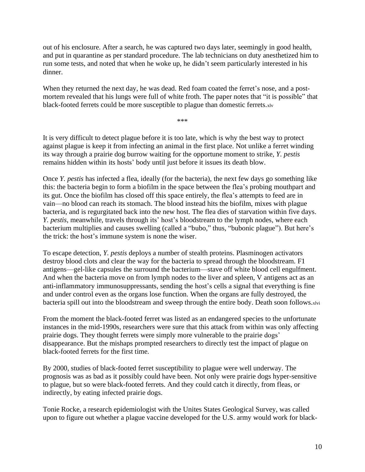out of his enclosure. After a search, he was captured two days later, seemingly in good health, and put in quarantine as per standard procedure. The lab technicians on duty anesthetized him to run some tests, and noted that when he woke up, he didn't seem particularly interested in his dinner.

When they returned the next day, he was dead. Red foam coated the ferret's nose, and a postmortem revealed that his lungs were full of white froth. The paper notes that "it is possible" that black-footed ferrets could be more susceptible to plague than domestic ferrets.xlv

\*\*\*

It is very difficult to detect plague before it is too late, which is why the best way to protect against plague is keep it from infecting an animal in the first place. Not unlike a ferret winding its way through a prairie dog burrow waiting for the opportune moment to strike, *Y. pestis* remains hidden within its hosts' body until just before it issues its death blow.

Once *Y. pestis* has infected a flea, ideally (for the bacteria), the next few days go something like this: the bacteria begin to form a biofilm in the space between the flea's probing mouthpart and its gut. Once the biofilm has closed off this space entirely, the flea's attempts to feed are in vain—no blood can reach its stomach. The blood instead hits the biofilm, mixes with plague bacteria, and is regurgitated back into the new host. The flea dies of starvation within five days. *Y. pestis*, meanwhile, travels through its' host's bloodstream to the lymph nodes, where each bacterium multiplies and causes swelling (called a "bubo," thus, "bubonic plague"). But here's the trick: the host's immune system is none the wiser.

To escape detection, *Y. pestis* deploys a number of stealth proteins. Plasminogen activators destroy blood clots and clear the way for the bacteria to spread through the bloodstream. F1 antigens—gel-like capsules the surround the bacterium—stave off white blood cell engulfment. And when the bacteria move on from lymph nodes to the liver and spleen, V antigens act as an anti-inflammatory immunosuppressants, sending the host's cells a signal that everything is fine and under control even as the organs lose function. When the organs are fully destroyed, the bacteria spill out into the bloodstream and sweep through the entire body. Death soon follows.xlvi

From the moment the black-footed ferret was listed as an endangered species to the unfortunate instances in the mid-1990s, researchers were sure that this attack from within was only affecting prairie dogs. They thought ferrets were simply more vulnerable to the prairie dogs' disappearance. But the mishaps prompted researchers to directly test the impact of plague on black-footed ferrets for the first time.

By 2000, studies of black-footed ferret susceptibility to plague were well underway. The prognosis was as bad as it possibly could have been. Not only were prairie dogs hyper-sensitive to plague, but so were black-footed ferrets. And they could catch it directly, from fleas, or indirectly, by eating infected prairie dogs.

Tonie Rocke, a research epidemiologist with the Unites States Geological Survey, was called upon to figure out whether a plague vaccine developed for the U.S. army would work for black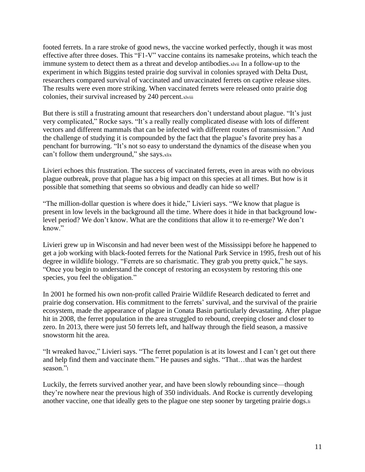footed ferrets. In a rare stroke of good news, the vaccine worked perfectly, though it was most effective after three doses. This "F1-V" vaccine contains its namesake proteins, which teach the immune system to detect them as a threat and develop antibodies.xlvii In a follow-up to the experiment in which Biggins tested prairie dog survival in colonies sprayed with Delta Dust, researchers compared survival of vaccinated and unvaccinated ferrets on captive release sites. The results were even more striking. When vaccinated ferrets were released onto prairie dog colonies, their survival increased by 240 percent.xlviii

But there is still a frustrating amount that researchers don't understand about plague. "It's just very complicated," Rocke says. "It's a really really complicated disease with lots of different vectors and different mammals that can be infected with different routes of transmission." And the challenge of studying it is compounded by the fact that the plague's favorite prey has a penchant for burrowing. "It's not so easy to understand the dynamics of the disease when you can't follow them underground," she says.xlix

Livieri echoes this frustration. The success of vaccinated ferrets, even in areas with no obvious plague outbreak, prove that plague has a big impact on this species at all times. But how is it possible that something that seems so obvious and deadly can hide so well?

"The million-dollar question is where does it hide," Livieri says. "We know that plague is present in low levels in the background all the time. Where does it hide in that background lowlevel period? We don't know. What are the conditions that allow it to re-emerge? We don't know."

Livieri grew up in Wisconsin and had never been west of the Mississippi before he happened to get a job working with black-footed ferrets for the National Park Service in 1995, fresh out of his degree in wildlife biology. "Ferrets are so charismatic. They grab you pretty quick," he says. "Once you begin to understand the concept of restoring an ecosystem by restoring this one species, you feel the obligation."

In 2001 he formed his own non-profit called Prairie Wildlife Research dedicated to ferret and prairie dog conservation. His commitment to the ferrets' survival, and the survival of the prairie ecosystem, made the appearance of plague in Conata Basin particularly devastating. After plague hit in 2008, the ferret population in the area struggled to rebound, creeping closer and closer to zero. In 2013, there were just 50 ferrets left, and halfway through the field season, a massive snowstorm hit the area.

"It wreaked havoc," Livieri says. "The ferret population is at its lowest and I can't get out there and help find them and vaccinate them." He pauses and sighs. "That…that was the hardest season."

Luckily, the ferrets survived another year, and have been slowly rebounding since—though they're nowhere near the previous high of 350 individuals. And Rocke is currently developing another vaccine, one that ideally gets to the plague one step sooner by targeting prairie dogs.li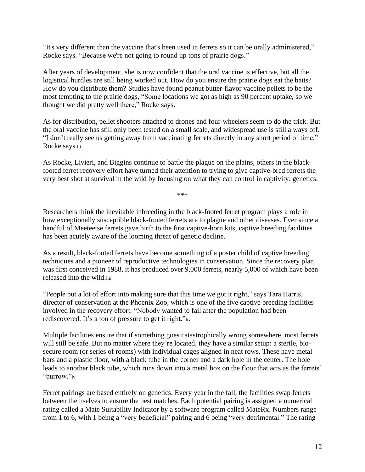"It's very different than the vaccine that's been used in ferrets so it can be orally administered," Rocke says. "Because we're not going to round up tons of prairie dogs."

After years of development, she is now confident that the oral vaccine is effective, but all the logistical hurdles are still being worked out. How do you ensure the prairie dogs eat the baits? How do you distribute them? Studies have found peanut butter-flavor vaccine pellets to be the most tempting to the prairie dogs, "Some locations we got as high as 90 percent uptake, so we thought we did pretty well there," Rocke says.

As for distribution, pellet shooters attached to drones and four-wheelers seem to do the trick. But the oral vaccine has still only been tested on a small scale, and widespread use is still a ways off. "I don't really see us getting away from vaccinating ferrets directly in any short period of time," Rocke says.lii

As Rocke, Livieri, and Biggins continue to battle the plague on the plains, others in the blackfooted ferret recovery effort have turned their attention to trying to give captive-bred ferrets the very best shot at survival in the wild by focusing on what they can control in captivity: genetics.

\*\*\*

Researchers think the inevitable inbreeding in the black-footed ferret program plays a role in how exceptionally susceptible black-footed ferrets are to plague and other diseases. Ever since a handful of Meeteetse ferrets gave birth to the first captive-born kits, captive breeding facilities has been acutely aware of the looming threat of genetic decline.

As a result, black-footed ferrets have become something of a poster child of captive breeding techniques and a pioneer of reproductive technologies in conservation. Since the recovery plan was first conceived in 1988, it has produced over 9,000 ferrets, nearly 5,000 of which have been released into the wild.liii

"People put a lot of effort into making sure that this time we got it right," says Tara Harris, director of conservation at the Phoenix Zoo, which is one of the five captive breeding facilities involved in the recovery effort. "Nobody wanted to fail after the population had been rediscovered. It's a ton of pressure to get it right."liv

Multiple facilities ensure that if something goes catastrophically wrong somewhere, most ferrets will still be safe. But no matter where they're located, they have a similar setup: a sterile, biosecure room (or series of rooms) with individual cages aligned in neat rows. These have metal bars and a plastic floor, with a black tube in the corner and a dark hole in the center. The hole leads to another black tube, which runs down into a metal box on the floor that acts as the ferrets' "burrow."lv

Ferret pairings are based entirely on genetics. Every year in the fall, the facilities swap ferrets between themselves to ensure the best matches. Each potential pairing is assigned a numerical rating called a Mate Suitability Indicator by a software program called MateRx. Numbers range from 1 to 6, with 1 being a "very beneficial" pairing and 6 being "very detrimental." The rating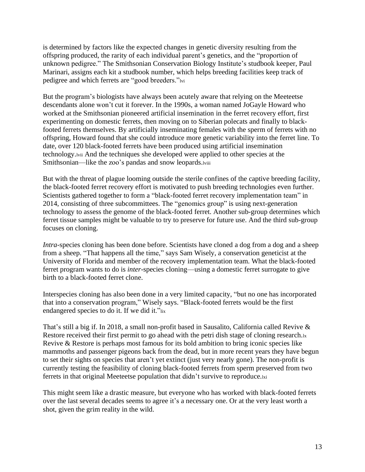is determined by factors like the expected changes in genetic diversity resulting from the offspring produced, the rarity of each individual parent's genetics, and the "proportion of unknown pedigree." The Smithsonian Conservation Biology Institute's studbook keeper, Paul Marinari, assigns each kit a studbook number, which helps breeding facilities keep track of pedigree and which ferrets are "good breeders."lvi

But the program's biologists have always been acutely aware that relying on the Meeteetse descendants alone won't cut it forever. In the 1990s, a woman named JoGayle Howard who worked at the Smithsonian pioneered artificial insemination in the ferret recovery effort, first experimenting on domestic ferrets, then moving on to Siberian polecats and finally to blackfooted ferrets themselves. By artificially inseminating females with the sperm of ferrets with no offspring, Howard found that she could introduce more genetic variability into the ferret line. To date, over 120 black-footed ferrets have been produced using artificial insemination technology.lvii And the techniques she developed were applied to other species at the Smithsonian—like the zoo's pandas and snow leopards.lviii

But with the threat of plague looming outside the sterile confines of the captive breeding facility, the black-footed ferret recovery effort is motivated to push breeding technologies even further. Scientists gathered together to form a "black-footed ferret recovery implementation team" in 2014, consisting of three subcommittees. The "genomics group" is using next-generation technology to assess the genome of the black-footed ferret. Another sub-group determines which ferret tissue samples might be valuable to try to preserve for future use. And the third sub-group focuses on cloning.

*Intra*-species cloning has been done before. Scientists have cloned a dog from a dog and a sheep from a sheep. "That happens all the time," says Sam Wisely, a conservation geneticist at the University of Florida and member of the recovery implementation team. What the black-footed ferret program wants to do is *inter*-species cloning—using a domestic ferret surrogate to give birth to a black-footed ferret clone.

Interspecies cloning has also been done in a very limited capacity, "but no one has incorporated that into a conservation program," Wisely says. "Black-footed ferrets would be the first endangered species to do it. If we did it."lix

That's still a big if. In 2018, a small non-profit based in Sausalito, California called Revive & Restore received their first permit to go ahead with the petri dish stage of cloning research.lx Revive & Restore is perhaps most famous for its bold ambition to bring iconic species like mammoths and passenger pigeons back from the dead, but in more recent years they have begun to set their sights on species that aren't yet extinct (just very nearly gone). The non-profit is currently testing the feasibility of cloning black-footed ferrets from sperm preserved from two ferrets in that original Meeteetse population that didn't survive to reproduce.lxi

This might seem like a drastic measure, but everyone who has worked with black-footed ferrets over the last several decades seems to agree it's a necessary one. Or at the very least worth a shot, given the grim reality in the wild.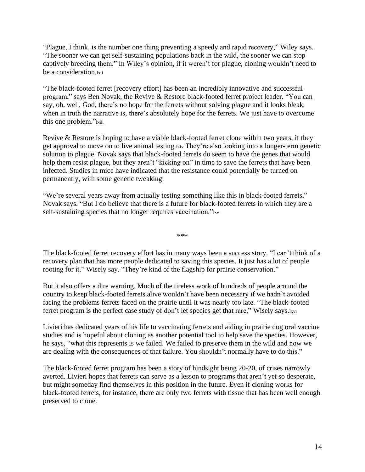"Plague, I think, is the number one thing preventing a speedy and rapid recovery," Wiley says. "The sooner we can get self-sustaining populations back in the wild, the sooner we can stop captively breeding them." In Wiley's opinion, if it weren't for plague, cloning wouldn't need to be a consideration.lxii

"The black-footed ferret [recovery effort] has been an incredibly innovative and successful program," says Ben Novak, the Revive & Restore black-footed ferret project leader. "You can say, oh, well, God, there's no hope for the ferrets without solving plague and it looks bleak, when in truth the narrative is, there's absolutely hope for the ferrets. We just have to overcome this one problem."lxiii

Revive & Restore is hoping to have a viable black-footed ferret clone within two years, if they get approval to move on to live animal testing.lxiv They're also looking into a longer-term genetic solution to plague. Novak says that black-footed ferrets do seem to have the genes that would help them resist plague, but they aren't "kicking on" in time to save the ferrets that have been infected. Studies in mice have indicated that the resistance could potentially be turned on permanently, with some genetic tweaking.

"We're several years away from actually testing something like this in black-footed ferrets," Novak says. "But I do believe that there is a future for black-footed ferrets in which they are a self-sustaining species that no longer requires vaccination."lxv

\*\*\*

The black-footed ferret recovery effort has in many ways been a success story. "I can't think of a recovery plan that has more people dedicated to saving this species. It just has a lot of people rooting for it," Wisely say. "They're kind of the flagship for prairie conservation."

But it also offers a dire warning. Much of the tireless work of hundreds of people around the country to keep black-footed ferrets alive wouldn't have been necessary if we hadn't avoided facing the problems ferrets faced on the prairie until it was nearly too late. "The black-footed ferret program is the perfect case study of don't let species get that rare," Wisely says.lxvi

Livieri has dedicated years of his life to vaccinating ferrets and aiding in prairie dog oral vaccine studies and is hopeful about cloning as another potential tool to help save the species. However, he says, "what this represents is we failed. We failed to preserve them in the wild and now we are dealing with the consequences of that failure. You shouldn't normally have to do this."

The black-footed ferret program has been a story of hindsight being 20-20, of crises narrowly averted. Livieri hopes that ferrets can serve as a lesson to programs that aren't yet so desperate, but might someday find themselves in this position in the future. Even if cloning works for black-footed ferrets, for instance, there are only two ferrets with tissue that has been well enough preserved to clone.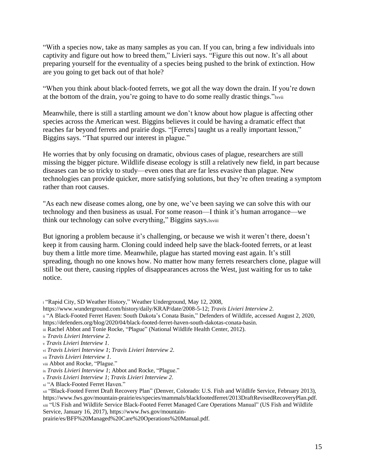"With a species now, take as many samples as you can. If you can, bring a few individuals into captivity and figure out how to breed them," Livieri says. "Figure this out now. It's all about preparing yourself for the eventuality of a species being pushed to the brink of extinction. How are you going to get back out of that hole?

"When you think about black-footed ferrets, we got all the way down the drain. If you're down at the bottom of the drain, you're going to have to do some really drastic things."lxvii

Meanwhile, there is still a startling amount we don't know about how plague is affecting other species across the American west. Biggins believes it could be having a dramatic effect that reaches far beyond ferrets and prairie dogs. "[Ferrets] taught us a really important lesson," Biggins says. "That spurred our interest in plague."

He worries that by only focusing on dramatic, obvious cases of plague, researchers are still missing the bigger picture. Wildlife disease ecology is still a relatively new field, in part because diseases can be so tricky to study—even ones that are far less evasive than plague. New technologies can provide quicker, more satisfying solutions, but they're often treating a symptom rather than root causes.

"As each new disease comes along, one by one, we've been saying we can solve this with our technology and then business as usual. For some reason—I think it's human arrogance—we think our technology can solve everything," Biggins says.lxviii

But ignoring a problem because it's challenging, or because we wish it weren't there, doesn't keep it from causing harm. Cloning could indeed help save the black-footed ferrets, or at least buy them a little more time. Meanwhile, plague has started moving east again. It's still spreading, though no one knows how. No matter how many ferrets researchers clone, plague will still be out there, causing ripples of disappearances across the West, just waiting for us to take notice.

prairie/es/BFF%20Managed%20Care%20Operations%20Manual.pdf.

<sup>i</sup> "Rapid City, SD Weather History," Weather Underground, May 12, 2008,

https://www.wunderground.com/history/daily/KRAP/date/2008-5-12; *Travis Livieri Interview 2*.

ii "A Black-Footed Ferret Haven: South Dakota's Conata Basin," Defenders of Wildlife, accessed August 2, 2020,

https://defenders.org/blog/2020/04/black-footed-ferret-haven-south-dakotas-conata-basin.

iii Rachel Abbot and Tonie Rocke, "Plague" (National Wildlife Health Center, 2012).

iv *Travis Livieri Interview 2*.

<sup>v</sup> *Travis Livieri Interview 1*.

vi *Travis Livieri Interview 1*; *Travis Livieri Interview 2*.

vii *Travis Livieri Interview 1*.

viii Abbot and Rocke, "Plague."

ix *Travis Livieri Interview 1*; Abbot and Rocke, "Plague."

<sup>x</sup> *Travis Livieri Interview 1*; *Travis Livieri Interview 2*.

xi "A Black-Footed Ferret Haven."

xii "Black-Footed Ferret Draft Recovery Plan" (Denver, Colorado: U.S. Fish and Wildlife Service, February 2013), https://www.fws.gov/mountain-prairie/es/species/mammals/blackfootedferret/2013DraftRevisedRecoveryPlan.pdf. xiii "US Fish and Wildlife Service Black-Footed Ferret Managed Care Operations Manual" (US Fish and Wildlife Service, January 16, 2017), https://www.fws.gov/mountain-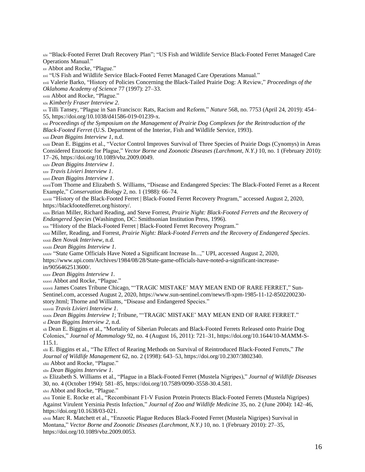xiv "Black-Footed Ferret Draft Recovery Plan"; "US Fish and Wildlife Service Black-Footed Ferret Managed Care Operations Manual."

xv Abbot and Rocke, "Plague."

xvi "US Fish and Wildlife Service Black-Footed Ferret Managed Care Operations Manual."

xvii Valerie Barko, "History of Policies Concerning the Black-Tailed Prairie Dog: A Review," *Proceedings of the Oklahoma Academy of Science* 77 (1997): 27–33.

xviii Abbot and Rocke, "Plague."

xix *Kimberly Fraser Interview 2*.

xx Tilli Tansey, "Plague in San Francisco: Rats, Racism and Reform," *Nature* 568, no. 7753 (April 24, 2019): 454– 55, https://doi.org/10.1038/d41586-019-01239-x.

xxi *Proceedings of the Symposium on the Management of Prairie Dog Complexes for the Reintroduction of the Black-Footed Ferret* (U.S. Department of the Interior, Fish and Wildlife Service, 1993).

xxii *Dean Biggins Interview 1*, n.d.

xxiii Dean E. Biggins et al., "Vector Control Improves Survival of Three Species of Prairie Dogs (Cynomys) in Areas Considered Enzootic for Plague," *Vector Borne and Zoonotic Diseases (Larchmont, N.Y.)* 10, no. 1 (February 2010): 17–26, https://doi.org/10.1089/vbz.2009.0049.

xxiv *Dean Biggins Interview 1*.

xxv *Travis Livieri Interview 1*.

xxvi *Dean Biggins Interview 1*.

xxviiTom Thorne and Elizabeth S. Williams, "Disease and Endangered Species: The Black-Footed Ferret as a Recent Example," *Conservation Biology* 2, no. 1 (1988): 66–74.

xxviii "History of the Black-Footed Ferret | Black-Footed Ferret Recovery Program," accessed August 2, 2020, https://blackfootedferret.org/history/.

xxix Brian Miller, Richard Reading, and Steve Forrest, *Prairie Night: Black-Footed Ferrets and the Recovery of Endangered Species* (Washington, DC: Smithsonian Institution Press, 1996).

xxx "History of the Black-Footed Ferret | Black-Footed Ferret Recovery Program."

xxxi Miller, Reading, and Forrest, *Prairie Night: Black-Footed Ferrets and the Recovery of Endangered Species*. xxxii *Ben Novak Interivew*, n.d.

xxxiii *Dean Biggins Interview 1*.

xxxiv "State Game Officials Have Noted a Significant Increase In...," UPI, accessed August 2, 2020, https://www.upi.com/Archives/1984/08/28/State-game-officials-have-noted-a-significant-increasein/9056462513600/.

xxxv *Dean Biggins Interview 1*.

xxxvi Abbot and Rocke, "Plague."

xxxvii James Coates Tribune Chicago, "'TRAGIC MISTAKE' MAY MEAN END OF RARE FERRET," Sun-Sentinel.com, accessed August 2, 2020, https://www.sun-sentinel.com/news/fl-xpm-1985-11-12-8502200230 story.html; Thorne and Williams, "Disease and Endangered Species."

xxxviii *Travis Livieri Interview 1*.

xxxix *Dean Biggins Interview 1*; Tribune, "'TRAGIC MISTAKE' MAY MEAN END OF RARE FERRET." xl *Dean Biggins Interview 2*, n.d.

xli Dean E. Biggins et al., "Mortality of Siberian Polecats and Black-Footed Ferrets Released onto Prairie Dog Colonies," *Journal of Mammalogy* 92, no. 4 (August 16, 2011): 721–31, https://doi.org/10.1644/10-MAMM-S-115.1.

xlii E. Biggins et al., "The Effect of Rearing Methods on Survival of Reintroduced Black-Footed Ferrets," *The Journal of Wildlife Management* 62, no. 2 (1998): 643–53, https://doi.org/10.2307/3802340.

xliii Abbot and Rocke, "Plague." xliv *Dean Biggins Interview 1*.

xlv Elizabeth S. Williams et al., "Plague in a Black-Footed Ferret (Mustela Nigripes)," *Journal of Wildlife Diseases* 30, no. 4 (October 1994): 581–85, https://doi.org/10.7589/0090-3558-30.4.581.

xlvi Abbot and Rocke, "Plague."

xlvii Tonie E. Rocke et al., "Recombinant F1-V Fusion Protein Protects Black-Footed Ferrets (Mustela Nigripes) Against Virulent Yersinia Pestis Infection," *Journal of Zoo and Wildlife Medicine* 35, no. 2 (June 2004): 142–46, https://doi.org/10.1638/03-021.

xlviii Marc R. Matchett et al., "Enzootic Plague Reduces Black-Footed Ferret (Mustela Nigripes) Survival in Montana," *Vector Borne and Zoonotic Diseases (Larchmont, N.Y.)* 10, no. 1 (February 2010): 27–35, https://doi.org/10.1089/vbz.2009.0053.